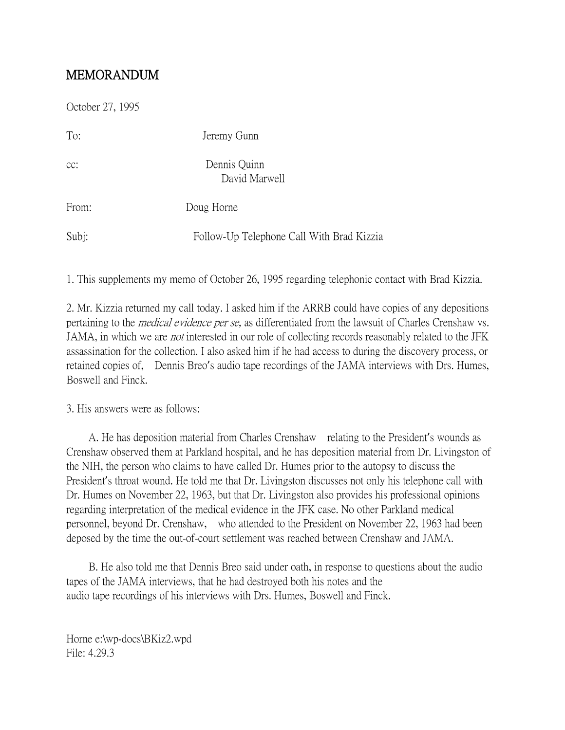## MEMORANDUM

| October 27, 1995 |                                           |
|------------------|-------------------------------------------|
| To:              | Jeremy Gunn                               |
| $CC$ :           | Dennis Quinn<br>David Marwell             |
| From:            | Doug Horne                                |
| Subj:            | Follow-Up Telephone Call With Brad Kizzia |

1. This supplements my memo of October 26, 1995 regarding telephonic contact with Brad Kizzia.

2. Mr. Kizzia returned my call today. I asked him if the ARRB could have copies of any depositions pertaining to the medical evidence per se, as differentiated from the lawsuit of Charles Crenshaw vs. JAMA, in which we are not interested in our role of collecting records reasonably related to the JFK assassination for the collection. I also asked him if he had access to during the discovery process, or retained copies of, Dennis Breo's audio tape recordings of the JAMA interviews with Drs. Humes, Boswell and Finck.

3. His answers were as follows:

 A. He has deposition material from Charles Crenshaw relating to the President's wounds as Crenshaw observed them at Parkland hospital, and he has deposition material from Dr. Livingston of the NIH, the person who claims to have called Dr. Humes prior to the autopsy to discuss the President's throat wound. He told me that Dr. Livingston discusses not only his telephone call with Dr. Humes on November 22, 1963, but that Dr. Livingston also provides his professional opinions regarding interpretation of the medical evidence in the JFK case. No other Parkland medical personnel, beyond Dr. Crenshaw, who attended to the President on November 22, 1963 had been deposed by the time the out-of-court settlement was reached between Crenshaw and JAMA.

 B. He also told me that Dennis Breo said under oath, in response to questions about the audio tapes of the JAMA interviews, that he had destroyed both his notes and the audio tape recordings of his interviews with Drs. Humes, Boswell and Finck.

Horne e:\wp-docs\BKiz2.wpd File: 4.29.3